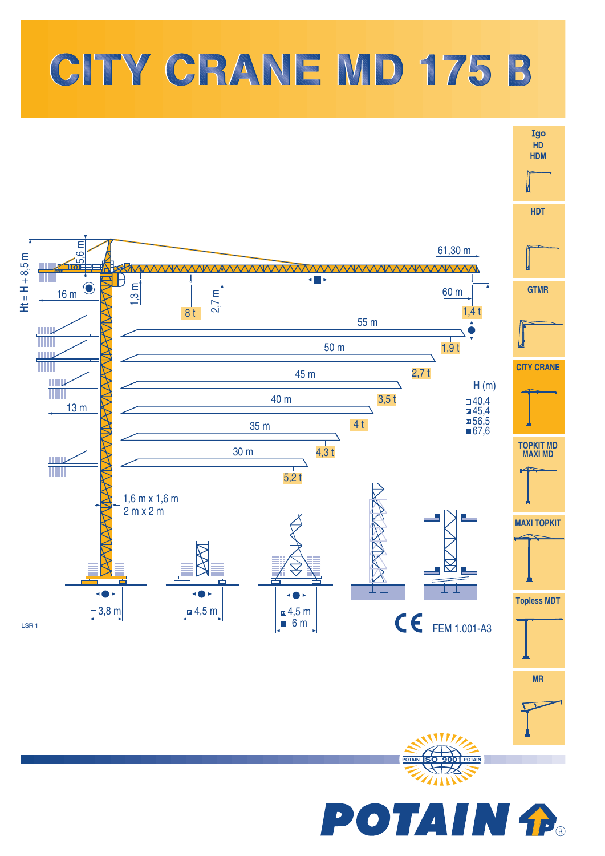



**POTAIN fP**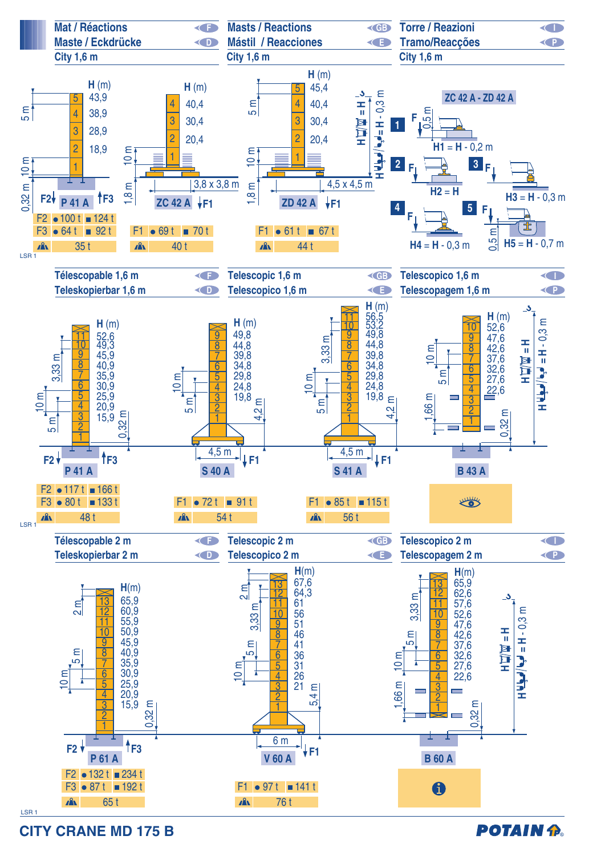

**CITY CRANE MD 175 B** 

## **POTAIN P.**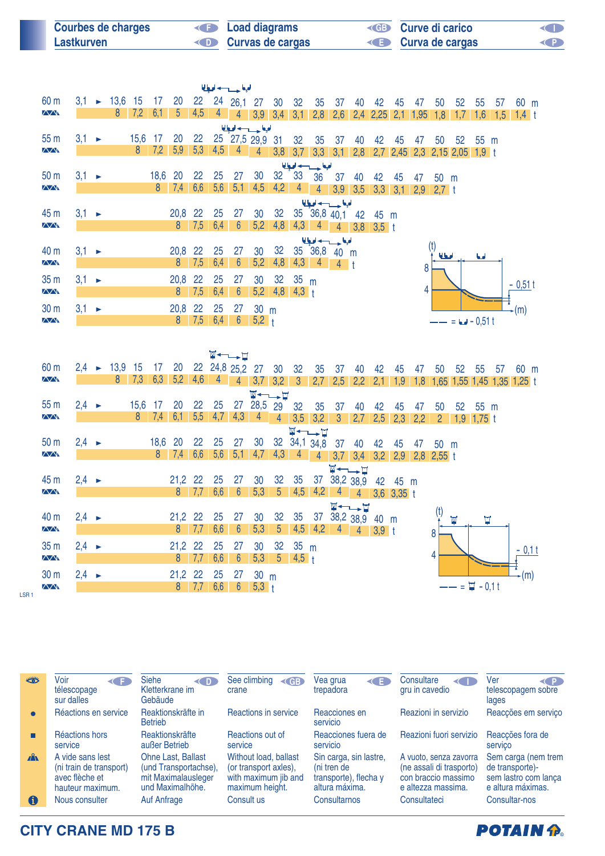| <b>Courbes de charges</b> | <b>E</b> Load diagrams  | <b>ED</b> Curve di carico | <b>ISSUED</b> |
|---------------------------|-------------------------|---------------------------|---------------|
| Lastkurven                | <b>Curvas de cargas</b> | <b>E</b> Curva de cargas  | <b>KED</b>    |

|                 |                   |                       |         |      |                |                 |     |                | الملحا حسيدها    |                 |                 |                 |                               |                |     |                     |     |    |             |                              |                |     |          |  |
|-----------------|-------------------|-----------------------|---------|------|----------------|-----------------|-----|----------------|------------------|-----------------|-----------------|-----------------|-------------------------------|----------------|-----|---------------------|-----|----|-------------|------------------------------|----------------|-----|----------|--|
| 60 m            | 3,1               |                       | $-13,6$ | 15   | 17             | 20              | 22  |                | 24 26,1 27       |                 | 30 <sup>°</sup> | 32              | 35                            | - 37           | 40  | 42                  | 45  | 47 | 50          | 52                           | 55             | 57  | 60 m     |  |
| $\sqrt{N}$      |                   |                       | 8       | 7,2  | 6,1            | $5\overline{)}$ | 4,5 | 4 <sup>1</sup> | $\overline{4}$   |                 |                 |                 | $3,9$ $3,4$ $3,1$ $2,8$ $2,6$ |                |     | $2,4$ 2,25 2,1 1,95 |     |    | 1,8         | 1,7                          | 1,6            | 1,5 | $1,4$ t  |  |
|                 |                   |                       |         |      |                |                 |     |                | الملوا حسيب اديا |                 |                 |                 |                               |                |     |                     |     |    |             |                              |                |     |          |  |
| 55 <sub>m</sub> | $3,1 \rightarrow$ |                       |         | 15,6 | 17             | 20              | 22  |                | 25 27,5 29,9 31  |                 |                 | 32 <sup>°</sup> | 35                            | 37             | 40  | 42                  | 45  | 47 | 50          | 52                           | $55 \text{ m}$ |     |          |  |
| $\sqrt{N}$      |                   |                       |         | 8    | 7,2            | 5,9             | 5,3 | 4,5            | 4                | 4               | 3,8             | 3,7             | 3,3                           | 3,1            | 2,8 |                     |     |    |             | 2,7 2,45 2,3 2,15 2,05 1,9 t |                |     |          |  |
|                 |                   |                       |         |      |                |                 |     |                |                  |                 |                 |                 | الملجا حسيب امرا              |                |     |                     |     |    |             |                              |                |     |          |  |
| 50 <sub>m</sub> | $3,1 \rightarrow$ |                       |         |      | 18,6           | <b>20</b>       | 22  | 25             | 27               | 30              | 32              | 33              | 36                            | 37             | 40  | 42                  | 45  | 47 | 50 m        |                              |                |     |          |  |
| $\sqrt{N}$      |                   |                       |         |      | 8 <sup>°</sup> | 7,4             | 6,6 | 5,6            | 5,1              | 4,5             | 4,2             | $\overline{4}$  | 4 <sup>1</sup>                | $3,9$ $3,5$    |     | 3,3                 | 3,1 |    | $2,9$ 2,7 t |                              |                |     |          |  |
|                 |                   |                       |         |      |                |                 |     |                |                  |                 |                 |                 | الملجعا حسيب لحبعا            |                |     |                     |     |    |             |                              |                |     |          |  |
| 45 m            | $3,1 \rightarrow$ |                       |         |      |                | 20,8            | 22  | 25             | 27               | 30              | 32              |                 | 35 36,8 40,1                  |                | 42  | 45 m                |     |    |             |                              |                |     |          |  |
| <b>AAN</b>      |                   |                       |         |      |                | 8               | 7,5 | 6.4            | 6                | 5,2             | 4,8             | 4,3             | $\overline{4}$                | $\overline{4}$ | 3,8 | $3,5$ t             |     |    |             |                              |                |     |          |  |
|                 |                   |                       |         |      |                |                 |     |                |                  |                 |                 |                 | الملجا حسيب اديا              |                |     |                     |     |    |             |                              |                |     |          |  |
| 40 m            | $3,1 \rightarrow$ |                       |         |      |                | 20,8            | 22  | 25             | 27               | 30              | 32              |                 | 35 36,8                       | 40 m           |     |                     |     |    | المعالما    |                              | اه ما          |     |          |  |
| $\sqrt{N}$      |                   |                       |         |      |                | 8               | 7,5 | 6,4            | $6^{\circ}$      | 5,2             | 4,8             | 4,3             | $\overline{4}$                | $4$ t          |     |                     |     | 8  |             |                              |                |     |          |  |
| 35 <sub>m</sub> | $3,1 \rightarrow$ |                       |         |      |                | 20,8            | 22  | 25             | 27               | 30              | 32              | 35 m            |                               |                |     |                     |     |    |             |                              |                |     | $-0,51t$ |  |
| $\sqrt{N}$      |                   |                       |         |      |                | 8               | 7,5 | 6,4            | $6\overline{6}$  | 5,2             | 4,8             | $4,3 +$         |                               |                |     |                     |     | 4  |             |                              |                |     |          |  |
| 30 <sub>m</sub> | 3,1               | $\blacktriangleright$ |         |      |                | 20,8            | 22  | 25             | 27               | 30 <sub>m</sub> |                 |                 |                               |                |     |                     |     |    |             |                              |                |     | (m)      |  |
| $\sqrt{N}$      |                   |                       |         |      |                | 8               | 7,5 | 6,4            | $6\phantom{1}6$  | $5,2 +$         |                 |                 |                               |                |     |                     |     |    |             | $= 6 - 0.51 t$               |                |     |          |  |
|                 |                   |                       |         |      |                |                 |     |                |                  |                 |                 |                 |                               |                |     |                     |     |    |             |                              |                |     |          |  |

|                    |                   |                          |                |                |           |           | $\Psi \leftarrow \rightarrow \blacksquare$ |                |                 |                       |                 |                                            |                             |                                                 |         |                |     |              |                 |                   |    |                            |  |
|--------------------|-------------------|--------------------------|----------------|----------------|-----------|-----------|--------------------------------------------|----------------|-----------------|-----------------------|-----------------|--------------------------------------------|-----------------------------|-------------------------------------------------|---------|----------------|-----|--------------|-----------------|-------------------|----|----------------------------|--|
| 60 <sub>m</sub>    |                   | $2,4$ $\rightarrow$ 13,9 | -15            | 17             | 20        |           | 22 24,8 25,2 27                            |                |                 | 30                    | 32              | 35                                         | 37                          | 40                                              | 42      | 45             | 47  | 50           | 52              | 55                | 57 | 60 m                       |  |
| $\Delta \Delta$    |                   | 8                        | 7,3            | 6,3            | 5,2       | 4,6       | 4                                          | $\overline{4}$ | 3,7             | 3,2                   | $\mathbf{3}$    | 2,7                                        | 2,5                         | 2,2                                             | 2,1     | 1,9            | 1,8 |              |                 |                   |    | 1,65 1,55 1,45 1,35 1,25 t |  |
|                    |                   |                          |                |                |           |           |                                            |                | $\blacksquare$  |                       |                 |                                            |                             |                                                 |         |                |     |              |                 |                   |    |                            |  |
| 55 <sub>m</sub>    | $2,4 \rightarrow$ |                          | 15,6           | -17            | 20        | 22        | 25                                         | 27             | 28,5 29         |                       | 32              | 35                                         | 37                          | 40                                              | 42      | 45             | 47  | 50           | 52 <sub>2</sub> | 55                | m  |                            |  |
| $\sqrt{N}$         |                   |                          | 8 <sup>°</sup> | 7,4            | 6,1       | 5,5       | 4,7                                        | 4,3            | $\overline{4}$  | $\overline{4}$        | 3,5             | 3,2                                        | $\mathbf{3}$                | 2,7                                             | 2,5     | 2,3            | 2,2 | $\mathbf{2}$ | 1,9             | $1,75$ t          |    |                            |  |
|                    |                   |                          |                |                |           |           |                                            |                |                 |                       |                 | $\Psi \leftarrow \rightarrow \blacksquare$ |                             |                                                 |         |                |     |              |                 |                   |    |                            |  |
| 50 <sub>m</sub>    | $2,4 \rightarrow$ |                          |                | 18,6           | 20        | 22        | 25                                         | 27             | 30              |                       |                 | 32 34,1 34,8                               | 37                          | 40                                              | 42      | 45             | 47  | 50 m         |                 |                   |    |                            |  |
| $\sqrt{N}$         |                   |                          |                | 8 <sup>°</sup> | 7,4       | 6,6       | 5,6                                        | 5,1            | 4,7             | 4,3                   | 4               | $\overline{4}$                             |                             | $3,7$ $3,4$                                     |         | $3,2$ 2,9      |     | $2,8$ 2,55 t |                 |                   |    |                            |  |
|                    |                   |                          |                |                |           |           |                                            |                |                 |                       |                 |                                            |                             | $\Psi \leftarrow \rightarrow \Box$              |         |                |     |              |                 |                   |    |                            |  |
| 45 m<br>$\sqrt{N}$ | $2,4 \rightarrow$ |                          |                |                | 21,2<br>8 | 22<br>7,7 | 25<br>6,6                                  | 27<br>6        | 30<br>5,3       | 32<br>$5\overline{)}$ | 35<br>4,5       | 37<br>4,2                                  | 38,2 38,9<br>$\overline{4}$ |                                                 | 42      | 45 m           |     |              |                 |                   |    |                            |  |
|                    |                   |                          |                |                |           |           |                                            |                |                 |                       |                 |                                            |                             | $\overline{4}$                                  |         | $3,6$ $3,35$ t |     |              |                 |                   |    |                            |  |
| 40 m               | $2,4 \rightarrow$ |                          |                |                | $21,2$ 22 |           | 25                                         | 27             | 30              | 32                    | 35              | 37                                         |                             | $\Psi \leftarrow \rightarrow \Box$<br>38,2 38,9 | 40      | m              |     |              | W               | П                 |    |                            |  |
| <b>AA</b>          |                   |                          |                |                | 8         | 7,7       | 6,6                                        | $6\phantom{1}$ | 5,3             | 5 <sup>5</sup>        | 4,5             | 4,2                                        | 4                           | 4                                               | $3,9$ t |                |     | 8            |                 |                   |    |                            |  |
| 35 <sub>m</sub>    | $2,4 \rightarrow$ |                          |                |                | 21,2 22   |           | 25                                         | 27             | 30              | 32                    | 35 <sub>m</sub> |                                            |                             |                                                 |         |                |     |              |                 |                   |    |                            |  |
| $\sqrt{N}$         |                   |                          |                |                | 8         | 7,7       | 6,6                                        | 6              | 5,3             | 5 <sup>5</sup>        | $4,5$ t         |                                            |                             |                                                 |         |                |     | 4            |                 |                   |    | $-0.1t$                    |  |
|                    |                   |                          |                |                |           |           |                                            |                |                 |                       |                 |                                            |                             |                                                 |         |                |     |              |                 |                   |    |                            |  |
| 30 <sub>m</sub>    | $2,4 \rightarrow$ |                          |                |                | 21,2      | 22        | 25                                         | 27             | 30 <sub>m</sub> |                       |                 |                                            |                             |                                                 |         |                |     |              |                 |                   |    | (m)                        |  |
| $\sqrt{N}$         |                   |                          |                |                | 8         | 7,7       | 6,6                                        | 6              | $5,3 +$         |                       |                 |                                            |                             |                                                 |         |                |     |              |                 | $=$ $\Xi$ - 0.1 t |    |                            |  |

LSR 1

| ***          | Voir<br>Œ<br>télescopage<br>sur dalles                                            | <b>Siehe</b><br>< D<br>Kletterkrane im<br>Gebäude                                             | See climbing<br>$\left\langle$ GB<br>crane                                                | Vea grua<br>K∎<br>trepadora                                                      | Consultare<br>$\leftarrow$<br>gru in cavedio                                                    | Ver<br>CP.<br>telescopagem sobre<br>lages                                           |
|--------------|-----------------------------------------------------------------------------------|-----------------------------------------------------------------------------------------------|-------------------------------------------------------------------------------------------|----------------------------------------------------------------------------------|-------------------------------------------------------------------------------------------------|-------------------------------------------------------------------------------------|
| $\bullet$    | Réactions en service                                                              | Reaktionskräfte in<br><b>Betrieb</b>                                                          | Reactions in service                                                                      | Reacciones en<br>servicio                                                        | Reazioni in servizio                                                                            | Reacções em serviço                                                                 |
|              | Réactions hors<br>service                                                         | Reaktionskräfte<br>außer Betrieb                                                              | Reactions out of<br>service                                                               | Reacciones fuera de<br>servicio                                                  | Reazioni fuori servizio                                                                         | Reaccões fora de<br>servico                                                         |
| $\mathbf{A}$ | A vide sans lest<br>(ni train de transport)<br>avec flèche et<br>hauteur maximum. | <b>Ohne Last, Ballast</b><br>(und Transportachse),<br>mit Maximalausleger<br>und Maximalhöhe. | Without load, ballast<br>(or transport axles).<br>with maximum jib and<br>maximum height. | Sin carga, sin lastre,<br>(ni tren de<br>transporte), flecha y<br>altura máxima. | A vuoto, senza zavorra<br>(ne assali di trasporto)<br>con braccio massimo<br>e altezza massima. | Sem carga (nem trem<br>de transporte)-<br>sem lastro com lança<br>e altura máximas. |
| 0            | Nous consulter                                                                    | <b>Auf Anfrage</b>                                                                            | Consult us                                                                                | Consultarnos                                                                     | Consultateci                                                                                    | Consultar-nos                                                                       |

**POTAIN P.** 

**CITY CRANE MD 175 B**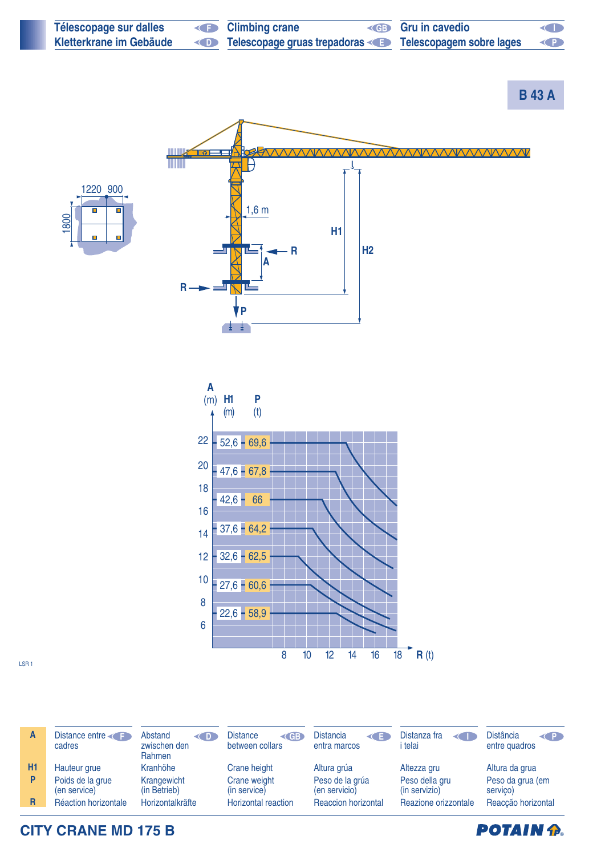

**CITY CRANE MD 175 B**

**POTAIN P.**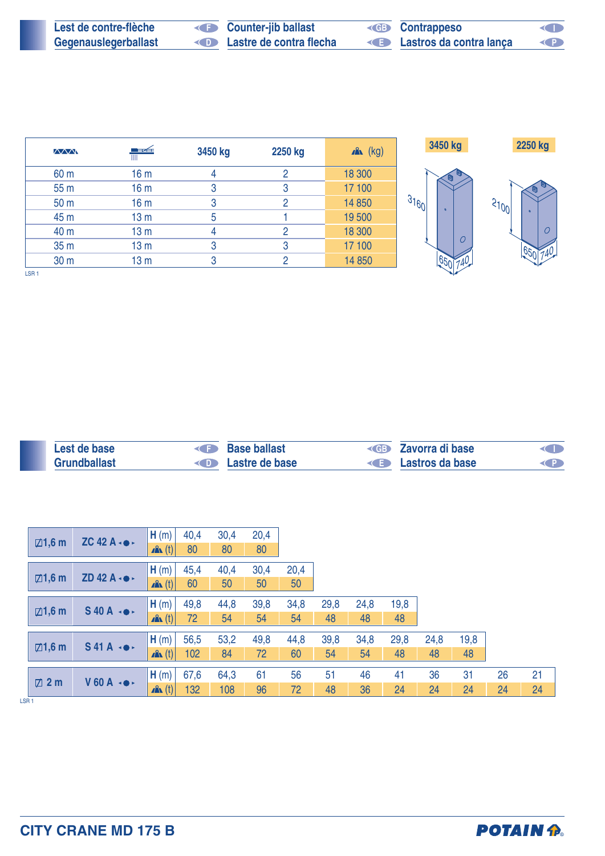| Lest de contre-flèche | <b>Counter-jib ballast</b> | <b>ED</b> Contrappeso   | O         |
|-----------------------|----------------------------|-------------------------|-----------|
| Gegenauslegerballast  | Lastre de contra flecha    | Lastros da contra lança | <b>KP</b> |

| $\sqrt{M}$       | ■ <del>ズ</del>  | 3450 kg | 2250 kg | $x^2$ (kg) | 3450 kg                          | 2250 kg  |
|------------------|-----------------|---------|---------|------------|----------------------------------|----------|
| 60 m             | 16 <sub>m</sub> | 4       | 2       | 18 300     |                                  |          |
| 55 <sub>m</sub>  | 16 <sub>m</sub> | 3       | 3       | 17 100     |                                  |          |
| 50 <sub>m</sub>  | 16 <sub>m</sub> | 3       | 2       | 14 850     | 31601<br>$\overline{\mathbf{a}}$ | 31001    |
| 45 m             | 13 <sub>m</sub> | 5       |         | 19 500     |                                  | $\Omega$ |
| 40 m             | 13 <sub>m</sub> | 4       | 2       | 18 300     |                                  |          |
| 35 <sub>m</sub>  | 13 <sub>m</sub> | 3       | 3       | 17 100     | $\overline{O}$                   |          |
| 30 <sub>m</sub>  | 13 <sub>m</sub> | 3       | 2       | 14 850     |                                  |          |
| LSR <sub>1</sub> |                 |         |         |            |                                  |          |

| Lest de base        | Base ballast                    | <b>Example 2</b> Zavorra di base | <b>ID</b> |
|---------------------|---------------------------------|----------------------------------|-----------|
| <b>Grundballast</b> | <b>Example 2</b> Lastre de base | <b>Example 3</b> Lastros da base |           |

|                  | $\boxdot$ 1,6 m   | ZC 42 A $\cdot \bullet \cdot$   | H(m)             | 40,4 | 30,4 | 20,4 |      |      |      |      |      |      |    |    |
|------------------|-------------------|---------------------------------|------------------|------|------|------|------|------|------|------|------|------|----|----|
|                  |                   |                                 | $\mathbf{A}$ (t) | 80   | 80   | 80   |      |      |      |      |      |      |    |    |
|                  |                   |                                 | H(m)             | 45,4 | 40,4 | 30,4 | 20,4 |      |      |      |      |      |    |    |
|                  | $\boxdot$ 1,6 m   | $ZD$ 42 A $\cdot \bullet \cdot$ | $\mathbf{A}$ (t) | 60   | 50   | 50   | 50   |      |      |      |      |      |    |    |
|                  |                   |                                 | H(m)             | 49,8 | 44,8 | 39,8 | 34,8 | 29,8 | 24,8 | 19,8 |      |      |    |    |
|                  | $\boxtimes$ 1,6 m | $S$ 40 A $\rightarrow$          | $\mathbf{A}$ (t) | 72   | 54   | 54   | 54   | 48   | 48   | 48   |      |      |    |    |
|                  |                   |                                 | H(m)             | 56,5 | 53,2 | 49,8 | 44,8 | 39,8 | 34,8 | 29,8 | 24,8 | 19,8 |    |    |
|                  | $\boxtimes$ 1,6 m | $S$ 41A $\leftrightarrow$       | $\mathbf{A}$ (t) | 102  | 84   | 72   | 60   | 54   | 54   | 48   | 48   | 48   |    |    |
|                  |                   |                                 | H(m)             | 67,6 | 64,3 | 61   | 56   | 51   | 46   | 41   | 36   | 31   | 26 | 21 |
|                  | $\boxtimes$ 2 m   | $V$ 60 A $\rightarrow$          | $\mathbf{A}$ (t) | 132  | 108  | 96   | 72   | 48   | 36   | 24   | 24   | 24   | 24 | 24 |
| LSR <sub>1</sub> |                   |                                 |                  |      |      |      |      |      |      |      |      |      |    |    |